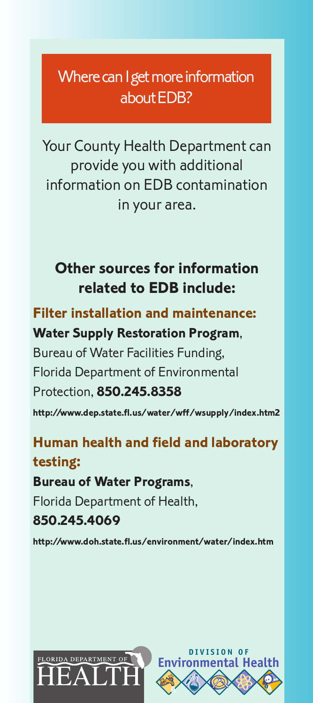# Where can I get more information about EDB?

Your County Health Department can provide you with additional information on EDB contamination in your area.

### **Other sources for information related to EDB include:**

### **Filter installation and maintenance: Water Supply Restoration Program**,

Bureau of Water Facilities Funding, Florida Department of Environmental Protection, **850.245.8358 http://www.dep.state.fl.us/water/wff/wsupply/index.htm2**

## **Human health and field and laboratory testing:**

### **Bureau of Water Programs**,

Florida Department of Health,

### **850.245.4069**

**http://www.doh.state.fl.us/environment/water/index.htm**



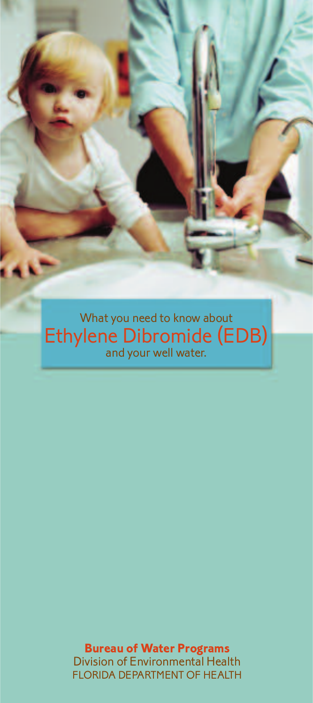What you need to know about Ethylene Dibromide (EDB) and your well water.

> **Bureau of Water Programs** Division of Environmental Health FLORIDA DEPARTMENT OF HEALTH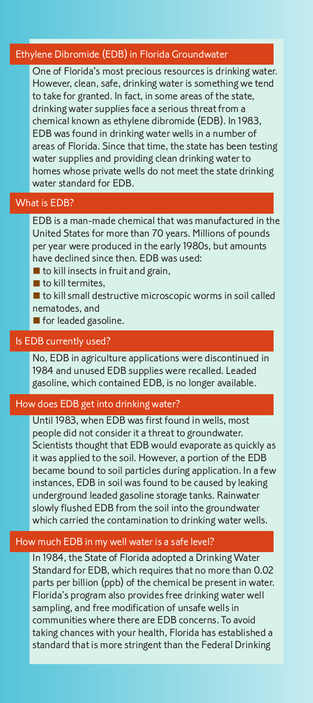#### Ethylene Dibromide (EDB) in Florida Groundwater

One of Florida's most precious resources is drinking water. However, clean, safe, drinking water is something we tend to take for granted. In fact, in some areas of the state, drinking water supplies face a serious threat from a chemical known as ethylene dibromide (EDB). In 1983, EDB was found in drinking water wells in a number of areas of Florida. Since that time, the state has been testing water supplies and providing clean drinking water to homes whose private wells do not meet the state drinking water standard for EDB.

#### What is EDB?

EDB is a man-made chemical that was manufactured in the United States for more than 70 years. Millions of pounds per year were produced in the early 1980s, but amounts have declined since then. EDB was used:

- $\blacksquare$  to kill insects in fruit and grain.
- $\blacksquare$  to kill termites.
- $\blacksquare$  to kill small destructive microscopic worms in soil called nematodes, and
- $\blacksquare$  for leaded gasoline.

#### Is EDB currently used?

No, EDB in agriculture applications were discontinued in 1984 and unused EDB supplies were recalled. Leaded gasoline, which contained EDB, is no longer available.

#### How does EDB get into drinking water?

Until 1983, when EDB was first found in wells, most people did not consider it a threat to groundwater. Scientists thought that EDB would evaporate as quickly as it was applied to the soil. However, a portion of the EDB became bound to soil particles during application. In a few instances, EDB in soil was found to be caused by leaking underground leaded gasoline storage tanks. Rainwater slowly flushed EDB from the soil into the groundwater which carried the contamination to drinking water wells.

#### How much EDB in my well water is a safe level?

In 1984, the State of Florida adopted a Drinking Water Standard for EDB, which requires that no more than 0.02 parts per billion (ppb) of the chemical be present in water. Florida's program also provides free drinking water well sampling, and free modification of unsafe wells in communities where there are EDB concerns. To avoid taking chances with your health, Florida has established a standard that is more stringent than the Federal Drinking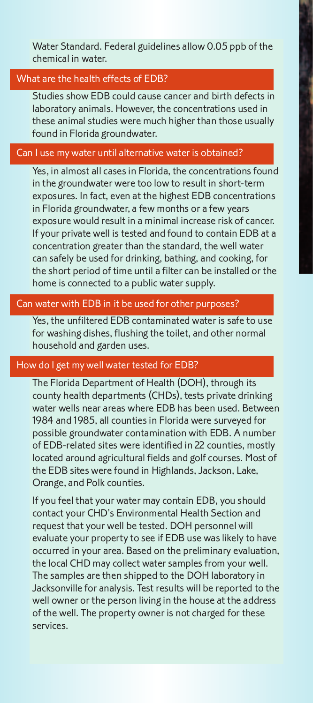Water Standard. Federal guidelines allow 0.05 ppb of the chemical in water.

#### What are the health effects of EDB?

Studies show EDB could cause cancer and birth defects in laboratory animals. However, the concentrations used in these animal studies were much higher than those usually found in Florida groundwater.

#### Can I use my water until alternative water is obtained?

Yes, in almost all cases in Florida, the concentrations found in the groundwater were too low to result in short-term exposures. In fact, even at the highest EDB concentrations in Florida groundwater, a few months or a few years exposure would result in a minimal increase risk of cancer. If your private well is tested and found to contain EDB at a concentration greater than the standard, the well water can safely be used for drinking, bathing, and cooking, for the short period of time until a filter can be installed or the home is connected to a public water supply.

#### Can water with EDB in it be used for other purposes?

Yes, the unfiltered EDB contaminated water is safe to use for washing dishes, flushing the toilet, and other normal household and garden uses.

#### How do I get my well water tested for EDB?

The Florida Department of Health (DOH), through its county health departments (CHDs), tests private drinking water wells near areas where EDB has been used. Between 1984 and 1985, all counties in Florida were surveyed for possible groundwater contamination with EDB. A number of EDB-related sites were identified in 22 counties, mostly located around agricultural fields and golf courses. Most of the EDB sites were found in Highlands, Jackson, Lake, Orange, and Polk counties.

If you feel that your water may contain EDB, you should contact your CHD's Environmental Health Section and request that your well be tested. DOH personnel will evaluate your property to see if EDB use was likely to have occurred in your area. Based on the preliminary evaluation, the local CHD may collect water samples from your well. The samples are then shipped to the DOH laboratory in Jacksonville for analysis. Test results will be reported to the well owner or the person living in the house at the address of the well. The property owner is not charged for these services.